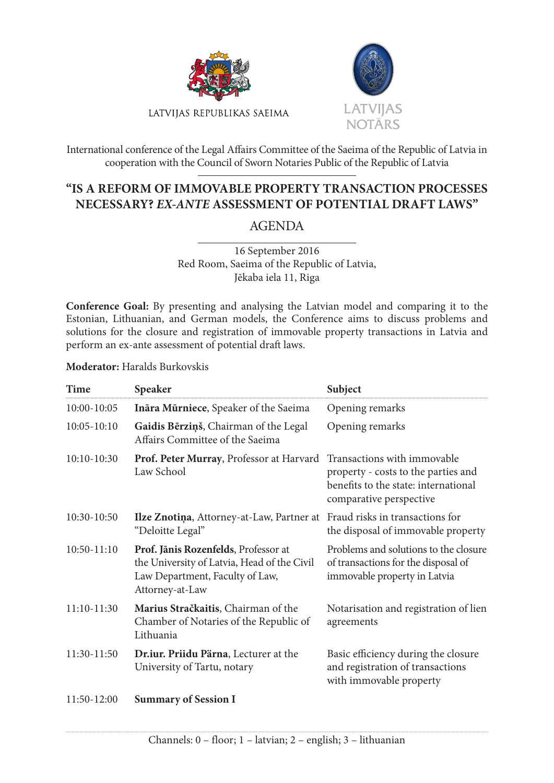



International conference of the Legal Affairs Committee of the Saeima of the Republic of Latvia in cooperation with the Council of Sworn Notaries Public of the Republic of Latvia

## **"IS A REFORM OF IMMOVABLE PROPERTY TRANSACTION PROCESSES NECESSARY?** *EX-ANTE* **ASSESSMENT OF POTENTIAL DRAFT LAWS"**

AGENDA

16 September 2016 Red Room, Saeima of the Republic of Latvia, Jēkaba iela 11, Riga

Conference Goal: By presenting and analysing the Latvian model and comparing it to the Estonian, Lithuanian, and German models, the Conference aims to discuss problems and solutions for the closure and registration of immovable property transactions in Latvia and perform an ex-ante assessment of potential draft laws.

**Moderator:** Haralds Burkovskis

| Time            | <b>Speaker</b>                                                                                                                            | Subject                                                                                                                               |
|-----------------|-------------------------------------------------------------------------------------------------------------------------------------------|---------------------------------------------------------------------------------------------------------------------------------------|
| 10:00-10:05     | Ināra Mūrniece, Speaker of the Saeima                                                                                                     | Opening remarks                                                                                                                       |
| $10:05 - 10:10$ | Gaidis Bērziņš, Chairman of the Legal<br>Affairs Committee of the Saeima                                                                  | Opening remarks                                                                                                                       |
| $10:10-10:30$   | Prof. Peter Murray, Professor at Harvard<br>Law School                                                                                    | Transactions with immovable<br>property - costs to the parties and<br>benefits to the state: international<br>comparative perspective |
| 10:30-10:50     | Ilze Znotiņa, Attorney-at-Law, Partner at<br>"Deloitte Legal"                                                                             | Fraud risks in transactions for<br>the disposal of immovable property                                                                 |
| 10:50-11:10     | Prof. Jānis Rozenfelds, Professor at<br>the University of Latvia, Head of the Civil<br>Law Department, Faculty of Law,<br>Attorney-at-Law | Problems and solutions to the closure<br>of transactions for the disposal of<br>immovable property in Latvia                          |
| 11:10-11:30     | Marius Stračkaitis, Chairman of the<br>Chamber of Notaries of the Republic of<br>Lithuania                                                | Notarisation and registration of lien<br>agreements                                                                                   |
| 11:30-11:50     | Dr.iur. Priidu Pärna, Lecturer at the<br>University of Tartu, notary                                                                      | Basic efficiency during the closure<br>and registration of transactions<br>with immovable property                                    |
| 11:50-12:00     | <b>Summary of Session I</b>                                                                                                               |                                                                                                                                       |